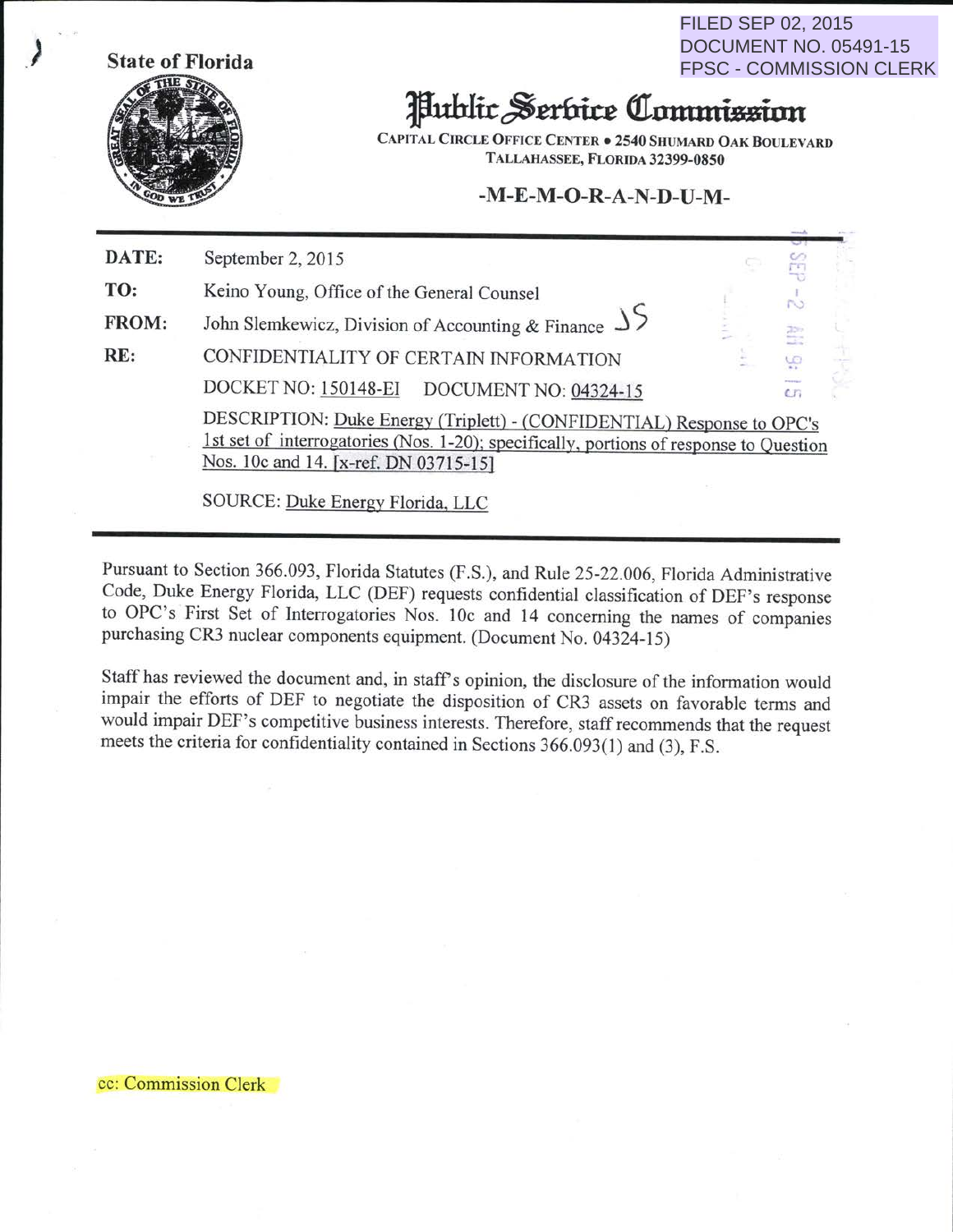*)* **State of Florida** 



FILED SEP 02, 2015 DOCUMENT NO. 05491-15 FPSC - COMMISSION CLERK

## Juhltt~erfritt **Q!lltttllthminn**

CAPITAL CIRCLE OFFICE CENTER • 2540 SHUMARD OAK BOULEVARD TALLAHASSEE, FLORIDA 32399-0850

## **-M-E-M-0-R-A-N-D-U-M-**

| DATE: | September 2, 2015<br>Q                                                                                                                                                                                                                        | ğ                      |  |
|-------|-----------------------------------------------------------------------------------------------------------------------------------------------------------------------------------------------------------------------------------------------|------------------------|--|
| TO:   | Keino Young, Office of the General Counsel                                                                                                                                                                                                    | N                      |  |
| FROM: | John Slemkewicz, Division of Accounting & Finance $\sqrt{5}$                                                                                                                                                                                  | 窑                      |  |
| RE:   | CONFIDENTIALITY OF CERTAIN INFORMATION                                                                                                                                                                                                        | ڝ                      |  |
|       | DOCKET NO: 150148-EI<br>DOCUMENT NO: 04324-15                                                                                                                                                                                                 | <b>Printing</b><br>C.n |  |
|       | DESCRIPTION: Duke Energy (Triplett) - (CONFIDENTIAL) Response to OPC's<br>1st set of interrogatories (Nos. 1-20); specifically, portions of response to Question<br>Nos. 10c and 14. [x-ref. DN 03715-15]<br>SOURCE: Duke Energy Florida, LLC |                        |  |

Pursuant to Section 366.093, Florida Statutes (F.S.), and Rule 25-22.006, Florida Administrative Code, Duke Energy Florida, LLC (DEF) requests confidential classification of DEF's response to OPC's First Set of Interrogatories Nos. 10c and 14 concerning the names of companies purchasing CR3 nuclear components equipment. (Document No. 04324-15)

Staff has reviewed the document and, in staff's opinion, the disclosure of the information would impair the efforts of DEF to negotiate the disposition of CR3 assets on favorable terms and would impair DEF's competitive business interests. Therefore, staff recommends that the request meets the criteria for confidentiality contained in Sections 366.093(1) and (3), F.S.